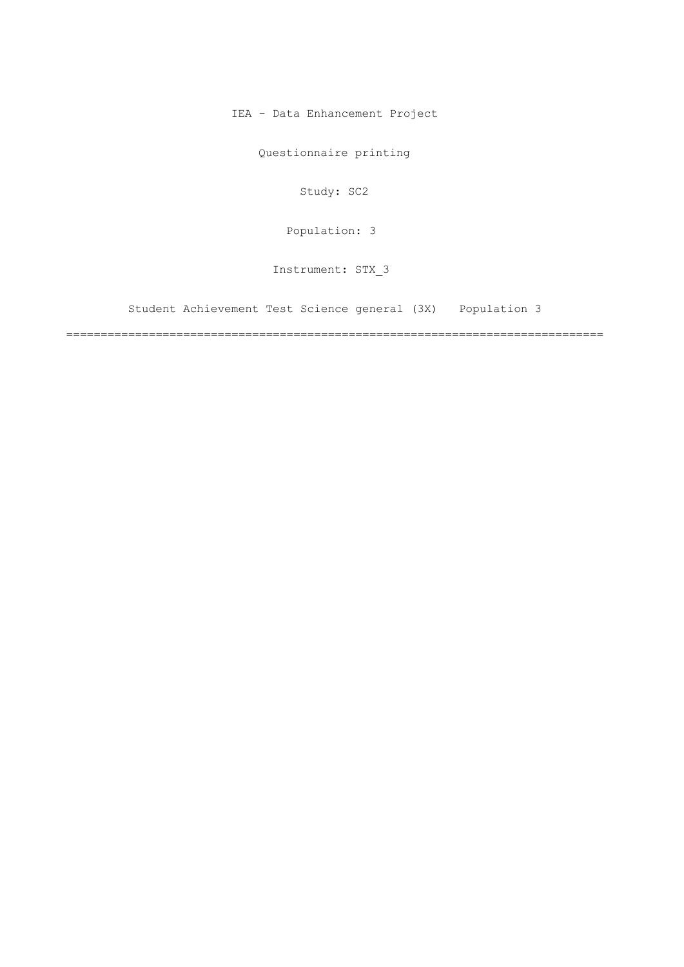IEA - Data Enhancement Project

Questionnaire printing

Study: SC2

[Population: 3](#page-2-0) 

Instrument: STX\_3

[Student Achievement Test Science general \(3X\) Population 3](#page-2-0)

==============================================================================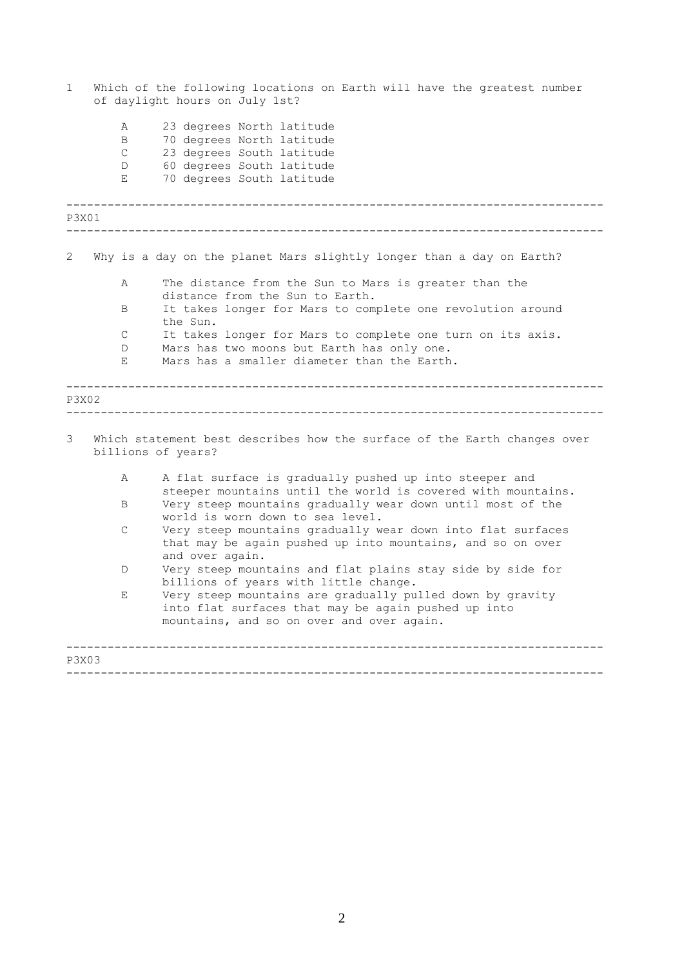| 1     |                                  | Which of the following locations on Earth will have the greatest number<br>of daylight hours on July 1st?                                                     |
|-------|----------------------------------|---------------------------------------------------------------------------------------------------------------------------------------------------------------|
|       | Α<br>B<br>$\mathsf{C}$<br>D<br>E | 23 degrees North latitude<br>70 degrees North latitude<br>23 degrees South latitude<br>60 degrees South latitude<br>70 degrees South latitude                 |
| P3X01 |                                  |                                                                                                                                                               |
| 2     |                                  | Why is a day on the planet Mars slightly longer than a day on Earth?                                                                                          |
|       | Α                                | The distance from the Sun to Mars is greater than the                                                                                                         |
|       | B                                | distance from the Sun to Earth.<br>It takes longer for Mars to complete one revolution around<br>the Sun.                                                     |
|       | $\mathsf{C}$<br>$\mathbb{D}$     | It takes longer for Mars to complete one turn on its axis.<br>Mars has two moons but Earth has only one.                                                      |
|       | Е                                | Mars has a smaller diameter than the Earth.                                                                                                                   |
| P3X02 |                                  |                                                                                                                                                               |
| 3     |                                  | Which statement best describes how the surface of the Earth changes over<br>billions of years?                                                                |
|       | A                                | A flat surface is gradually pushed up into steeper and<br>steeper mountains until the world is covered with mountains.                                        |
|       | B                                | Very steep mountains gradually wear down until most of the<br>world is worn down to sea level.                                                                |
|       | $\mathsf{C}$                     | Very steep mountains gradually wear down into flat surfaces<br>that may be again pushed up into mountains, and so on over<br>and over again.                  |
|       | D                                | Very steep mountains and flat plains stay side by side for<br>billions of years with little change.                                                           |
|       | Е                                | Very steep mountains are gradually pulled down by gravity<br>into flat surfaces that may be again pushed up into<br>mountains, and so on over and over again. |
| P3X03 |                                  |                                                                                                                                                               |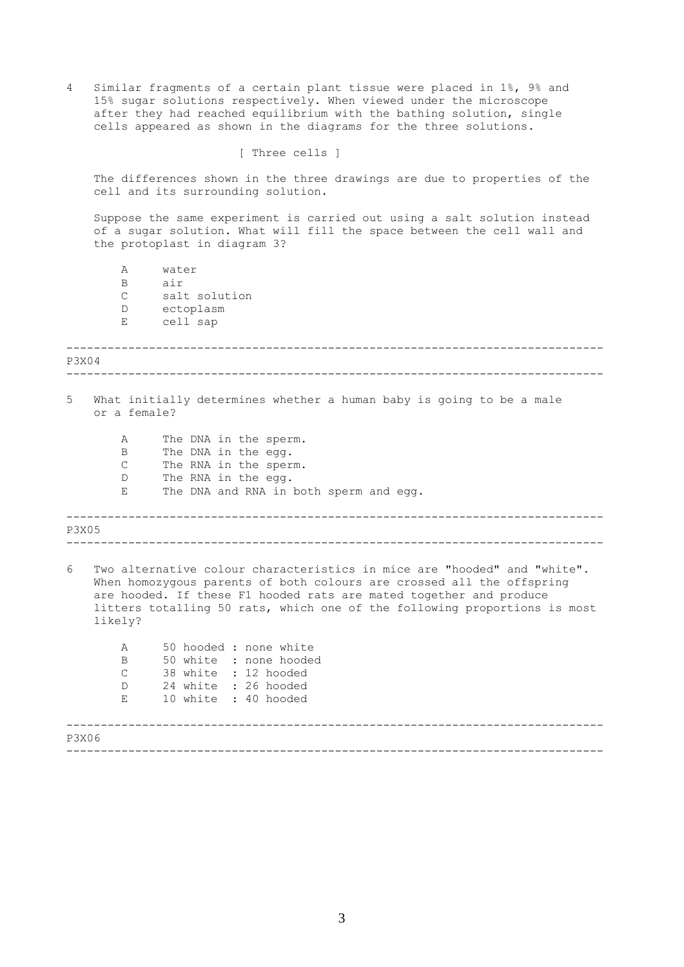<span id="page-2-0"></span>4 Similar fragments of a certain plant tissue were placed in 1%, 9% and 15% sugar solutions respectively. When viewed under the microscope after they had reached equilibrium with the bathing solution, single cells appeared as shown in the diagrams for the three solutions.

[ Three cells ]

The differences shown in the three drawings are due to properties of the cell and its surrounding solution.

Suppose the same experiment is carried out using a salt solution instead of a sugar solution. What will fill the space between the cell wall and the protoplast in diagram 3?

A water B air C salt solution D ectoplasm E cell sap

------------------------------------------------------------------------------ ------------------------------------------------------------------------------ P3X04 5 What initially determines whether a human baby is going to be a male or a female? A The DNA in the sperm.

B The DNA in the egg. C The RNA in the sperm. D The RNA in the egg. E The DNA and RNA in both sperm and egg.

------------------------------------------------------------------------------ P3X05

------------------------------------------------------------------------------

6 Two alternative colour characteristics in mice are "hooded" and "white". When homozygous parents of both colours are crossed all the offspring are hooded. If these F1 hooded rats are mated together and produce litters totalling 50 rats, which one of the following proportions is most likely?

| Α<br>B<br>$\mathcal{C}$<br>D<br>E. |  | 50 hooded : none white<br>50 white : none hooded<br>38 white : 12 hooded<br>24 white : 26 hooded<br>10 white : 40 hooded |
|------------------------------------|--|--------------------------------------------------------------------------------------------------------------------------|
| P3X06                              |  |                                                                                                                          |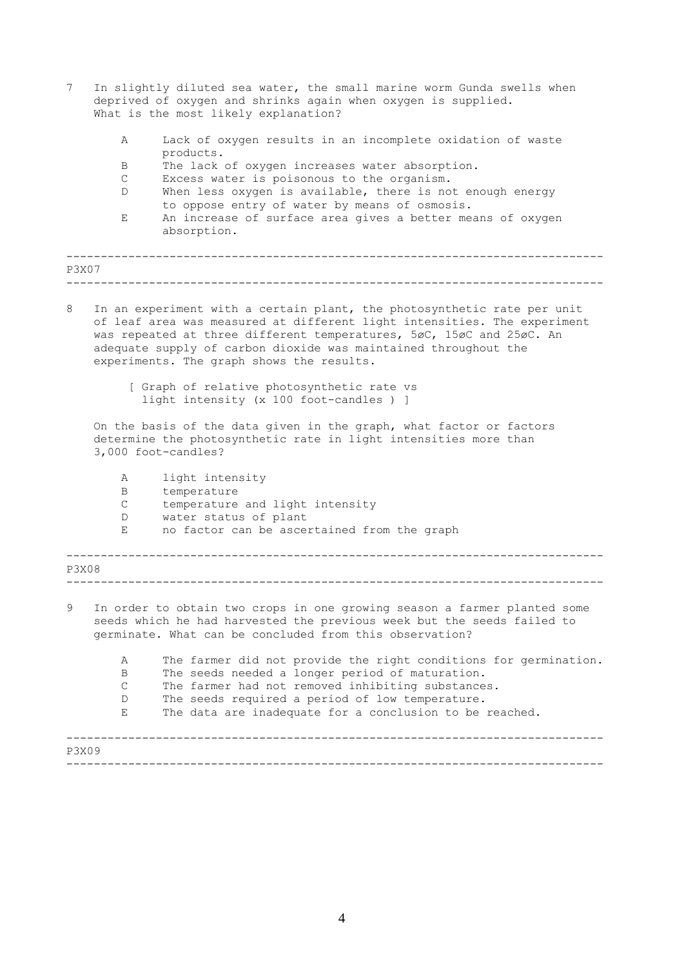| 7                                                                                     |                    | In slightly diluted sea water, the small marine worm Gunda swells when<br>deprived of oxygen and shrinks again when oxygen is supplied.<br>What is the most likely explanation?                                                                                                                                                             |  |  |  |  |  |
|---------------------------------------------------------------------------------------|--------------------|---------------------------------------------------------------------------------------------------------------------------------------------------------------------------------------------------------------------------------------------------------------------------------------------------------------------------------------------|--|--|--|--|--|
|                                                                                       | Α                  | Lack of oxygen results in an incomplete oxidation of waste                                                                                                                                                                                                                                                                                  |  |  |  |  |  |
|                                                                                       | B                  | products.<br>The lack of oxygen increases water absorption.                                                                                                                                                                                                                                                                                 |  |  |  |  |  |
|                                                                                       | С                  | Excess water is poisonous to the organism.                                                                                                                                                                                                                                                                                                  |  |  |  |  |  |
|                                                                                       | D                  | When less oxygen is available, there is not enough energy                                                                                                                                                                                                                                                                                   |  |  |  |  |  |
|                                                                                       | E.                 | to oppose entry of water by means of osmosis.<br>An increase of surface area gives a better means of oxygen                                                                                                                                                                                                                                 |  |  |  |  |  |
|                                                                                       |                    | absorption.                                                                                                                                                                                                                                                                                                                                 |  |  |  |  |  |
| <b>P3X07</b>                                                                          |                    |                                                                                                                                                                                                                                                                                                                                             |  |  |  |  |  |
|                                                                                       |                    |                                                                                                                                                                                                                                                                                                                                             |  |  |  |  |  |
| 8                                                                                     |                    | In an experiment with a certain plant, the photosynthetic rate per unit<br>of leaf area was measured at different light intensities. The experiment<br>was repeated at three different temperatures, 5øC, 15øC and 25øC. An<br>adequate supply of carbon dioxide was maintained throughout the<br>experiments. The graph shows the results. |  |  |  |  |  |
| [ Graph of relative photosynthetic rate vs<br>light intensity (x 100 foot-candles ) ] |                    |                                                                                                                                                                                                                                                                                                                                             |  |  |  |  |  |
|                                                                                       |                    | On the basis of the data given in the graph, what factor or factors<br>determine the photosynthetic rate in light intensities more than<br>3,000 foot-candles?                                                                                                                                                                              |  |  |  |  |  |
|                                                                                       | Α                  | light intensity                                                                                                                                                                                                                                                                                                                             |  |  |  |  |  |
|                                                                                       | B                  | temperature                                                                                                                                                                                                                                                                                                                                 |  |  |  |  |  |
|                                                                                       | C<br>D             | temperature and light intensity<br>water status of plant                                                                                                                                                                                                                                                                                    |  |  |  |  |  |
|                                                                                       | Е                  | no factor can be ascertained from the graph                                                                                                                                                                                                                                                                                                 |  |  |  |  |  |
| P3X08                                                                                 |                    |                                                                                                                                                                                                                                                                                                                                             |  |  |  |  |  |
| 9                                                                                     |                    | In order to obtain two crops in one growing season a farmer planted some<br>seeds which he had harvested the previous week but the seeds failed to<br>germinate. What can be concluded from this observation?                                                                                                                               |  |  |  |  |  |
|                                                                                       | Α                  | The farmer did not provide the right conditions for germination.                                                                                                                                                                                                                                                                            |  |  |  |  |  |
|                                                                                       | B                  | The seeds needed a longer period of maturation.                                                                                                                                                                                                                                                                                             |  |  |  |  |  |
|                                                                                       | $\mathcal{C}$<br>D | The farmer had not removed inhibiting substances.<br>The seeds required a period of low temperature.                                                                                                                                                                                                                                        |  |  |  |  |  |
|                                                                                       | E                  | The data are inadequate for a conclusion to be reached.                                                                                                                                                                                                                                                                                     |  |  |  |  |  |
|                                                                                       |                    |                                                                                                                                                                                                                                                                                                                                             |  |  |  |  |  |
| P3X09                                                                                 |                    |                                                                                                                                                                                                                                                                                                                                             |  |  |  |  |  |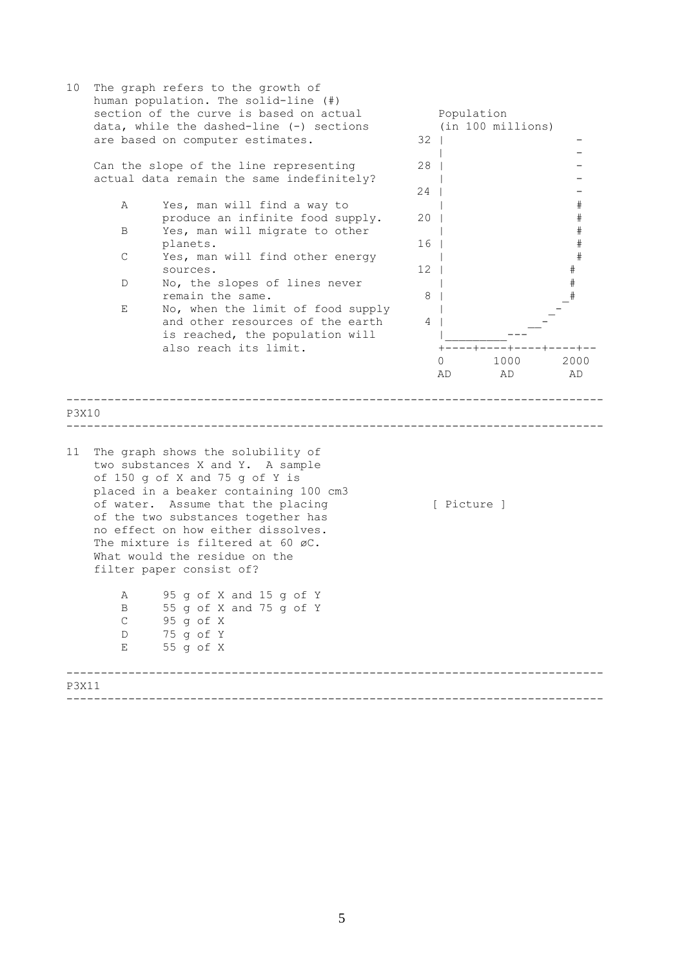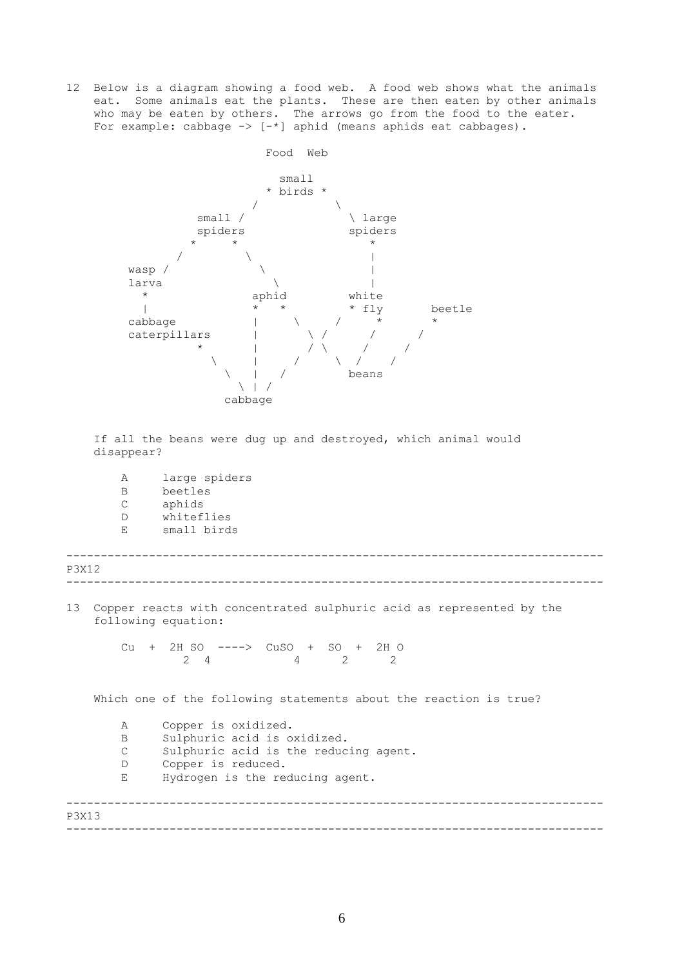12 Below is a diagram showing a food web. A food web shows what the animals eat. Some animals eat the plants. These are then eaten by other animals who may be eaten by others. The arrows go from the food to the eater. For example: cabbage  $\rightarrow$  [-\*] aphid (means aphids eat cabbages).



If all the beans were dug up and destroyed, which animal would disappear?

A large spiders B beetles C aphids D whiteflies E small birds

------------------------------------------------------------------------------ ------------------------------------------------------------------------------ P3X12

13 Copper reacts with concentrated sulphuric acid as represented by the following equation:

> Cu + 2H SO ----> CuSO + SO + 2H O 2 4 2 2 2

Which one of the following statements about the reaction is true?

A Copper is oxidized. B Sulphuric acid is oxidized. C Sulphuric acid is the reducing agent. D Copper is reduced. E Hydrogen is the reducing agent.

------------------------------------------------------------------------------ ------------------------------------------------------------------------------ P3X13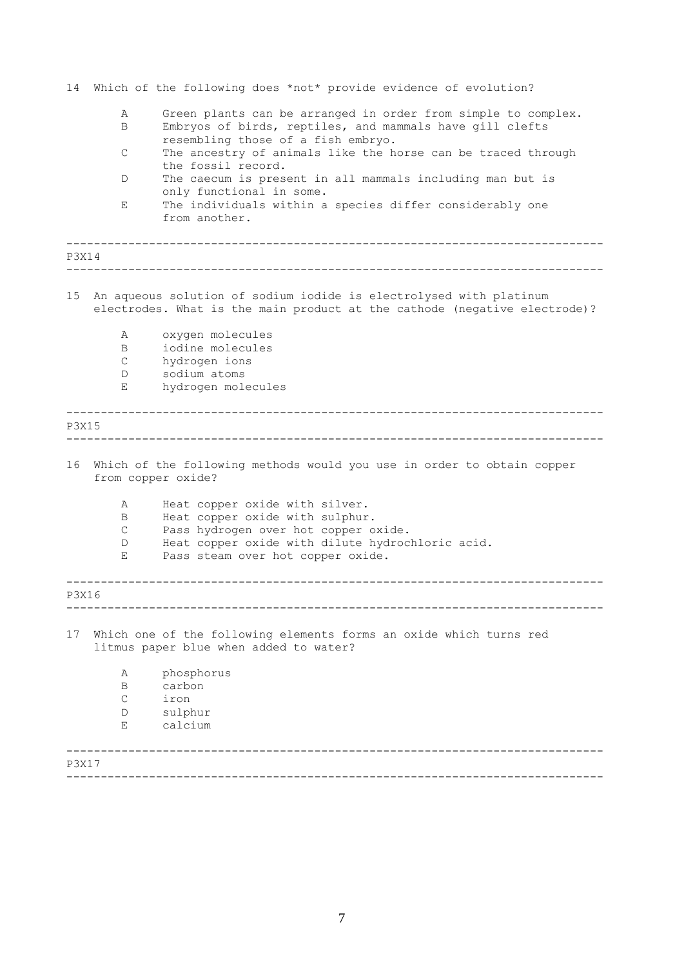| 14           |                   | Which of the following does *not* provide evidence of evolution?                                                                                                |
|--------------|-------------------|-----------------------------------------------------------------------------------------------------------------------------------------------------------------|
|              | Α<br>B            | Green plants can be arranged in order from simple to complex.<br>Embryos of birds, reptiles, and mammals have gill clefts<br>resembling those of a fish embryo. |
|              | С                 | The ancestry of animals like the horse can be traced through<br>the fossil record.                                                                              |
|              | D                 | The caecum is present in all mammals including man but is<br>only functional in some.                                                                           |
|              | Ε                 | The individuals within a species differ considerably one<br>from another.                                                                                       |
| P3X14        |                   |                                                                                                                                                                 |
| 15           |                   | An aqueous solution of sodium iodide is electrolysed with platinum<br>electrodes. What is the main product at the cathode (negative electrode)?                 |
|              | Α<br>B            | oxygen molecules<br>iodine molecules                                                                                                                            |
|              | С                 | hydrogen ions                                                                                                                                                   |
|              | D<br>Е            | sodium atoms<br>hydrogen molecules                                                                                                                              |
| <b>P3X15</b> |                   |                                                                                                                                                                 |
| 16           |                   | Which of the following methods would you use in order to obtain copper<br>from copper oxide?                                                                    |
|              | Α                 | Heat copper oxide with silver.                                                                                                                                  |
|              | B<br>C            | Heat copper oxide with sulphur.<br>Pass hydrogen over hot copper oxide.                                                                                         |
|              | D<br>Е            | Heat copper oxide with dilute hydrochloric acid.<br>Pass steam over hot copper oxide.                                                                           |
| P3X16        |                   |                                                                                                                                                                 |
| 17           |                   | Which one of the following elements forms an oxide which turns red<br>litmus paper blue when added to water?                                                    |
|              | Α                 | phosphorus                                                                                                                                                      |
|              | B<br>$\mathsf{C}$ | carbon<br>iron                                                                                                                                                  |
|              | D                 | sulphur                                                                                                                                                         |
|              | Е                 | calcium                                                                                                                                                         |
| P3X17        |                   |                                                                                                                                                                 |

------------------------------------------------------------------------------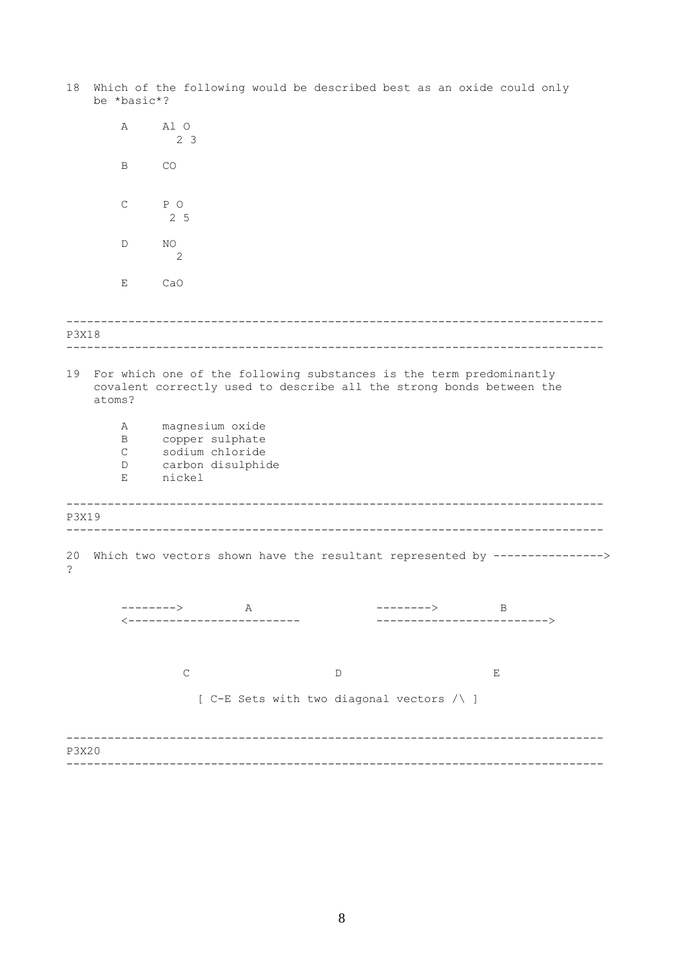------------------------------------------------------------------------------ ------------------------------------------------------------------------------ ------------------------------------------------------------------------------ ------------------------------------------------------------------------------ ------------------------------------------------------------------------------ ------------------------------------------------------------------------------ 18 Which of the following would be described best as an oxide could only be \*basic\*? A Al O 2 3 B CO C P O 2 5 D NO 2 E CaO P3X18 19 For which one of the following substances is the term predominantly covalent correctly used to describe all the strong bonds between the atoms? A magnesium oxide B copper sulphate C sodium chloride D carbon disulphide E nickel P3X19 20 Which two vectors shown have the resultant represented by ----------------> ? --------> A --------> B <------------------------- -------------------------> C D E [ C-E Sets with two diagonal vectors /\ ] P3X20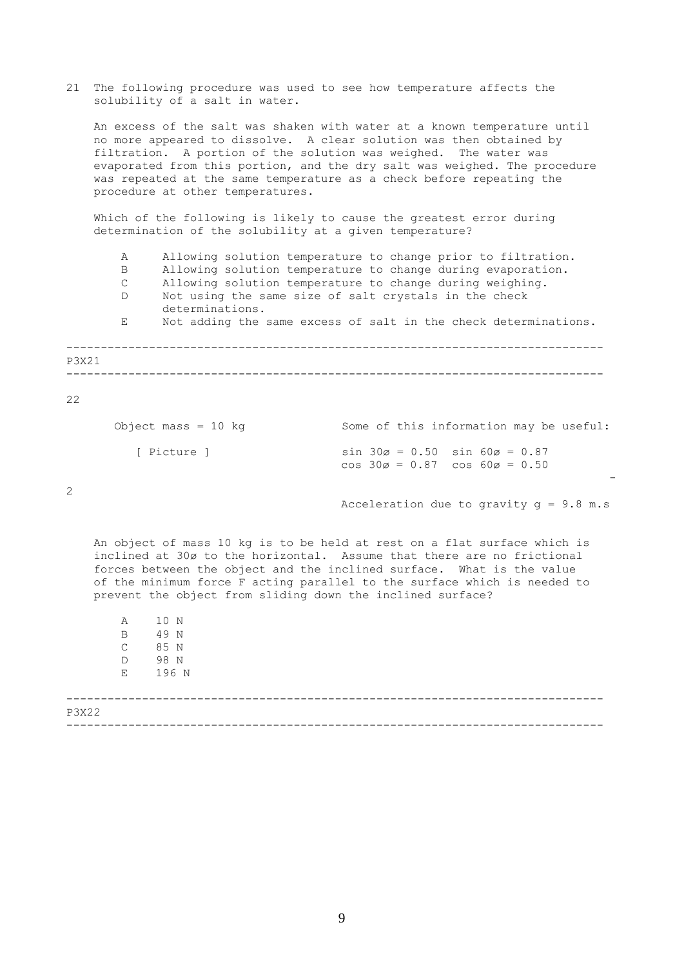21 The following procedure was used to see how temperature affects the solubility of a salt in water.

An excess of the salt was shaken with water at a known temperature until no more appeared to dissolve. A clear solution was then obtained by filtration. A portion of the solution was weighed. The water was evaporated from this portion, and the dry salt was weighed. The procedure was repeated at the same temperature as a check before repeating the procedure at other temperatures.

Which of the following is likely to cause the greatest error during determination of the solubility at a given temperature?

------------------------------------------------------------------------------ ------------------------------------------------------------------------------ A Allowing solution temperature to change prior to filtration. B Allowing solution temperature to change during evaporation. C Allowing solution temperature to change during weighing. D Not using the same size of salt crystals in the check determinations. E Not adding the same excess of salt in the check determinations.

22

P3X21

| Object mass = $10$ kg | Some of this information may be useful:                                                                  |
|-----------------------|----------------------------------------------------------------------------------------------------------|
| [ Picture ]           | $\sin 30\varnothing = 0.50$ $\sin 60\varnothing = 0.87$<br>$\cos 30\alpha = 0.87$ $\cos 60\alpha = 0.50$ |

2

Acceleration due to gravity  $q = 9.8$  m.s

-

An object of mass 10 kg is to be held at rest on a flat surface which is inclined at 30ø to the horizontal. Assume that there are no frictional forces between the object and the inclined surface. What is the value of the minimum force F acting parallel to the surface which is needed to prevent the object from sliding down the inclined surface?

|              | Α<br>B<br>$\mathsf{C}$<br>$\mathbb D$<br>$E$ and $E$ | 10 N<br>49 N<br>85 N<br>98 N<br>196 N |
|--------------|------------------------------------------------------|---------------------------------------|
| <b>P3X22</b> |                                                      |                                       |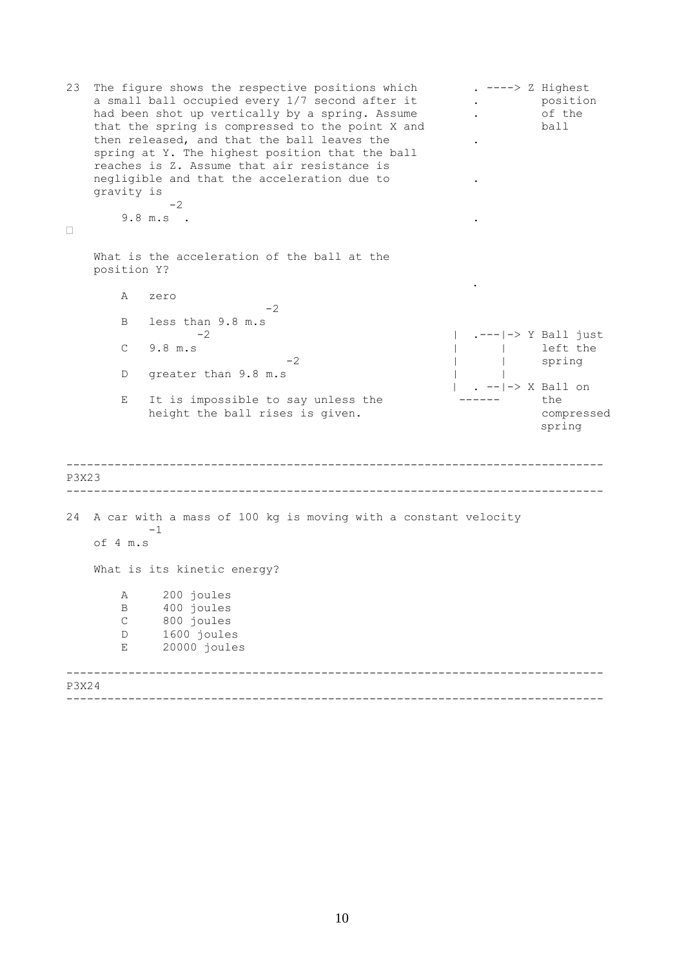```
------------------------------------------------------------------------------ 
    ------------------------------------------------------------------------------ 
------------------------------------------------------------------------------ 
------------------------------------------------------------------------------ 
23 The figure shows the respective positions which . ----> Z Highest<br>a small ball occupied every 1/7 second after it . position
   a small ball occupied every 1/7 second after it . a positional positional position of the same of the
   had been shot up vertically by a spring. Assume .
   that the spring is compressed to the point X and ball 
   then released, and that the ball leaves the
   spring at Y. The highest position that the ball
   reaches is Z. Assume that air resistance is 
   negligible and that the acceleration due to
   gravity is 
             -29.8 m.s . . 
\BoxWhat is the acceleration of the ball at the 
   position Y? 
                                                       . 
       A zero 
                          -2B less than 9.8 m.s 
       -2 | .---|-> Y Ball just
       C 9.8 m.s | left the
                              -2 | | spring
       D greater than 9.8 m.s | | |
                                                   | . --|-> X Ball on
       E It is impossible to say unless the ------ the
           height the ball rises is given. The compressed
                                                                spring 
P3X23 
24 A car with a mass of 100 kg is moving with a constant velocity
        -1of 4 m.s 
   What is its kinetic energy? 
       A 200 joules
       B 400 joules<br>C 800 joules
           800 joules
       D 1600 joules
       E 20000 joules 
P3X24
```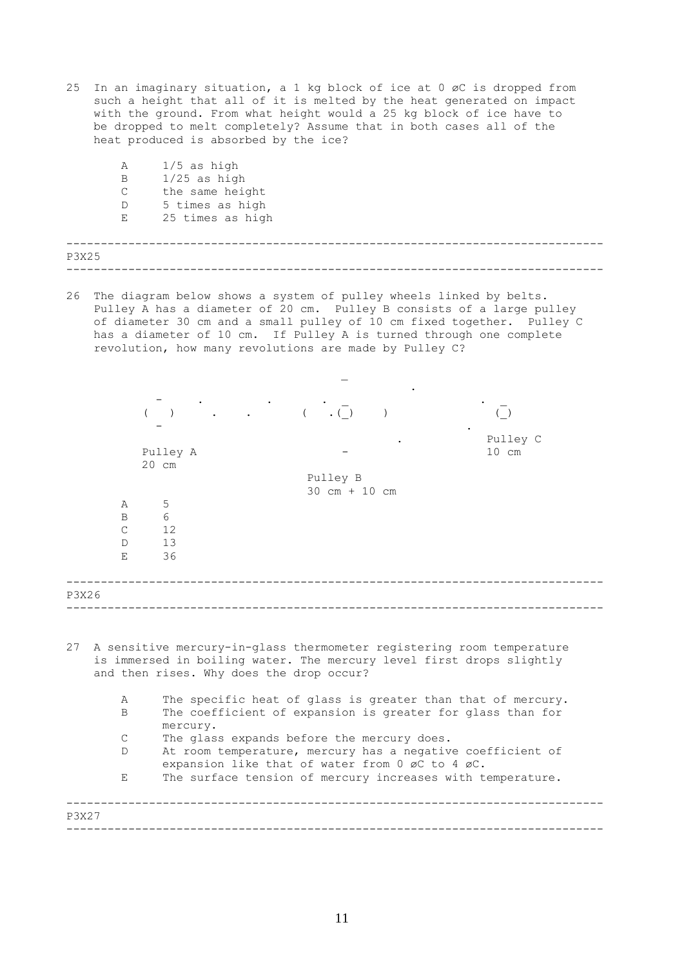25 In an imaginary situation, a 1 kg block of ice at 0 øC is dropped from such a height that all of it is melted by the heat generated on impact with the ground. From what height would a 25 kg block of ice have to be dropped to melt completely? Assume that in both cases all of the heat produced is absorbed by the ice?

|       | Α            | $1/5$ as high    |
|-------|--------------|------------------|
|       | B            | $1/25$ as high   |
|       | $\mathsf{C}$ | the same height  |
|       | D            | 5 times as high  |
|       | $E_{\perp}$  | 25 times as high |
|       |              |                  |
|       |              |                  |
| P3X25 |              |                  |
|       |              |                  |

26 The diagram below shows a system of pulley wheels linked by belts. Pulley A has a diameter of 20 cm. Pulley B consists of a large pulley of diameter 30 cm and a small pulley of 10 cm fixed together. Pulley C has a diameter of 10 cm. If Pulley A is turned through one complete revolution, how many revolutions are made by Pulley C?

|                        |                                                                                                                                                                                           | $\overline{(\ }$<br>$\cdot$ ( )             | $($ $)$                     |
|------------------------|-------------------------------------------------------------------------------------------------------------------------------------------------------------------------------------------|---------------------------------------------|-----------------------------|
|                        | Pulley A<br>20 cm                                                                                                                                                                         |                                             | Pulley C<br>$10 \text{ cm}$ |
|                        |                                                                                                                                                                                           | Pulley B<br>$30 \text{ cm} + 10 \text{ cm}$ |                             |
| Α<br>B<br>C<br>D.<br>E | 5<br>6<br>12<br>13<br>36                                                                                                                                                                  |                                             |                             |
| P3X26                  |                                                                                                                                                                                           |                                             |                             |
| 27                     | A sensitive mercury-in-glass thermometer registering room temperature<br>is immersed in boiling water. The mercury level first drops slightly<br>and then rises. Why does the drop occur? |                                             |                             |
| Α<br>B                 | The specific heat of glass is greater than that of mercury.<br>The coefficient of expansion is greater for glass than for<br>mercury.                                                     |                                             |                             |
| C                      | The glass expands before the mercury does.                                                                                                                                                |                                             |                             |
| D                      | At room temperature, mercury has a negative coefficient of<br>expansion like that of water from 0 øC to 4 øC.                                                                             |                                             |                             |
| E                      | The surface tension of mercury increases with temperature.                                                                                                                                |                                             |                             |
| P3X27                  |                                                                                                                                                                                           |                                             |                             |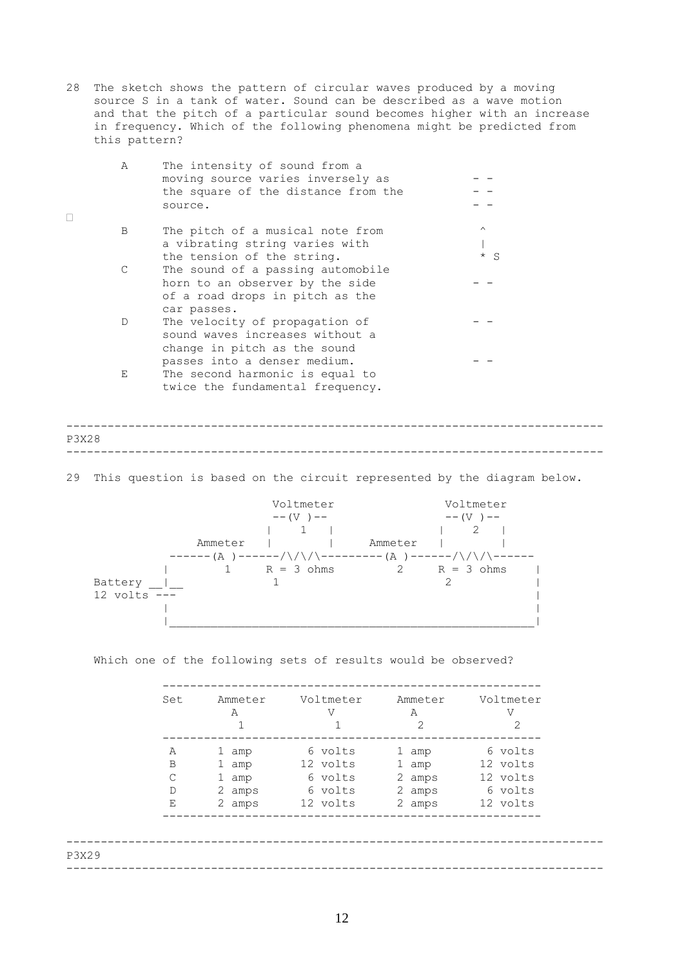28 The sketch shows the pattern of circular waves produced by a moving source S in a tank of water. Sound can be described as a wave motion and that the pitch of a particular sound becomes higher with an increase in frequency. Which of the following phenomena might be predicted from this pattern?

| Α | The intensity of sound from a       |          |
|---|-------------------------------------|----------|
|   | moving source varies inversely as   |          |
|   | the square of the distance from the |          |
|   | source.                             |          |
| B | The pitch of a musical note from    | $\wedge$ |
|   | a vibrating string varies with      |          |
|   | the tension of the string.          | $* S$    |
|   | The sound of a passing automobile   |          |
|   | horn to an observer by the side     |          |
|   | of a road drops in pitch as the     |          |
|   | car passes.                         |          |
| D | The velocity of propagation of      |          |
|   | sound waves increases without a     |          |
|   | change in pitch as the sound        |          |
|   | passes into a denser medium.        |          |
| Е | The second harmonic is equal to     |          |
|   | twice the fundamental frequency.    |          |

 $\Box$ 

## ------------------------------------------------------------------------------ ------------------------------------------------------------------------------ P3X28

29 This question is based on the circuit represented by the diagram below.



Which one of the following sets of results would be observed?

| 6 volts<br>6 volts<br>Α<br>1 amp<br>1 amp<br>12 volts<br>12 volts<br>B<br>1 amp<br>1 amp<br>$\mathsf{C}$<br>12 volts<br>6 volts<br>2 amps<br>1 amp |
|----------------------------------------------------------------------------------------------------------------------------------------------------|
|                                                                                                                                                    |
|                                                                                                                                                    |
|                                                                                                                                                    |
| 6 volts<br>6 volts<br>$\mathbb D$<br>2 amps<br>2 amps                                                                                              |
| Ε<br>12 volts<br>12 volts<br>2 amps<br>2 amps                                                                                                      |
|                                                                                                                                                    |